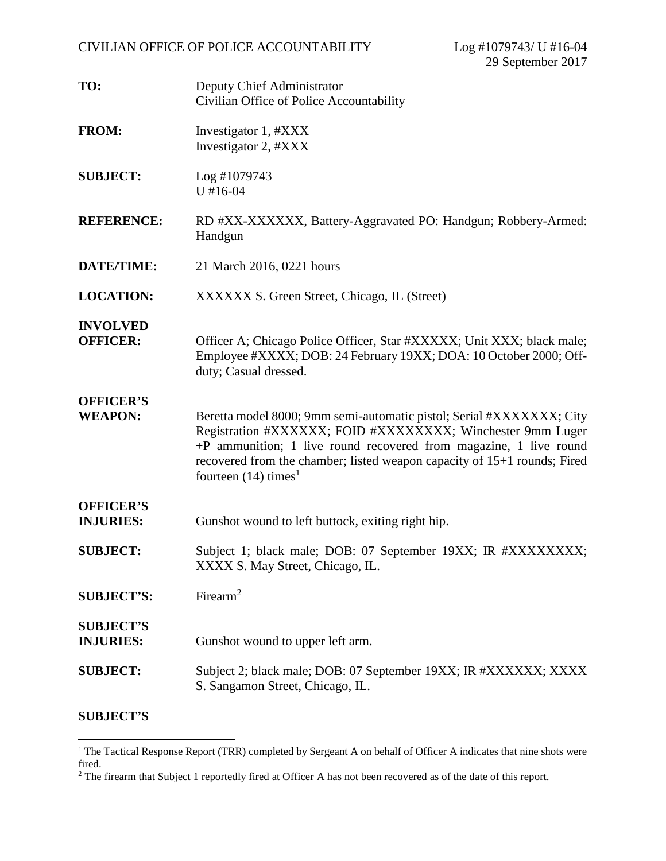| TO:                                  | Deputy Chief Administrator<br>Civilian Office of Police Accountability                                                                                                                                                                                                                                                    |
|--------------------------------------|---------------------------------------------------------------------------------------------------------------------------------------------------------------------------------------------------------------------------------------------------------------------------------------------------------------------------|
| <b>FROM:</b>                         | Investigator 1, #XXX<br>Investigator 2, #XXX                                                                                                                                                                                                                                                                              |
| <b>SUBJECT:</b>                      | Log #1079743<br>$U$ #16-04                                                                                                                                                                                                                                                                                                |
| <b>REFERENCE:</b>                    | RD #XX-XXXXXX, Battery-Aggravated PO: Handgun; Robbery-Armed:<br>Handgun                                                                                                                                                                                                                                                  |
| <b>DATE/TIME:</b>                    | 21 March 2016, 0221 hours                                                                                                                                                                                                                                                                                                 |
| <b>LOCATION:</b>                     | XXXXXX S. Green Street, Chicago, IL (Street)                                                                                                                                                                                                                                                                              |
| <b>INVOLVED</b><br><b>OFFICER:</b>   | Officer A; Chicago Police Officer, Star #XXXXX; Unit XXX; black male;<br>Employee #XXXX; DOB: 24 February 19XX; DOA: 10 October 2000; Off-<br>duty; Casual dressed.                                                                                                                                                       |
| <b>OFFICER'S</b><br><b>WEAPON:</b>   | Beretta model 8000; 9mm semi-automatic pistol; Serial #XXXXXXX; City<br>Registration #XXXXXX; FOID #XXXXXXXX; Winchester 9mm Luger<br>+P ammunition; 1 live round recovered from magazine, 1 live round<br>recovered from the chamber; listed weapon capacity of 15+1 rounds; Fired<br>fourteen $(14)$ times <sup>1</sup> |
| <b>OFFICER'S</b><br><b>INJURIES:</b> | Gunshot wound to left buttock, exiting right hip.                                                                                                                                                                                                                                                                         |
| <b>SUBJECT:</b>                      | Subject 1; black male; DOB: 07 September 19XX; IR #XXXXXXXX;<br>XXXX S. May Street, Chicago, IL.                                                                                                                                                                                                                          |
| <b>SUBJECT'S:</b>                    | Firearm <sup>2</sup>                                                                                                                                                                                                                                                                                                      |
| <b>SUBJECT'S</b><br><b>INJURIES:</b> | Gunshot wound to upper left arm.                                                                                                                                                                                                                                                                                          |
| <b>SUBJECT:</b>                      | Subject 2; black male; DOB: 07 September 19XX; IR #XXXXXX; XXXX<br>S. Sangamon Street, Chicago, IL.                                                                                                                                                                                                                       |

## **SUBJECT'S**

<sup>&</sup>lt;sup>1</sup> The Tactical Response Report (TRR) completed by Sergeant A on behalf of Officer A indicates that nine shots were fired.

<sup>&</sup>lt;sup>2</sup> The firearm that Subject 1 reportedly fired at Officer A has not been recovered as of the date of this report.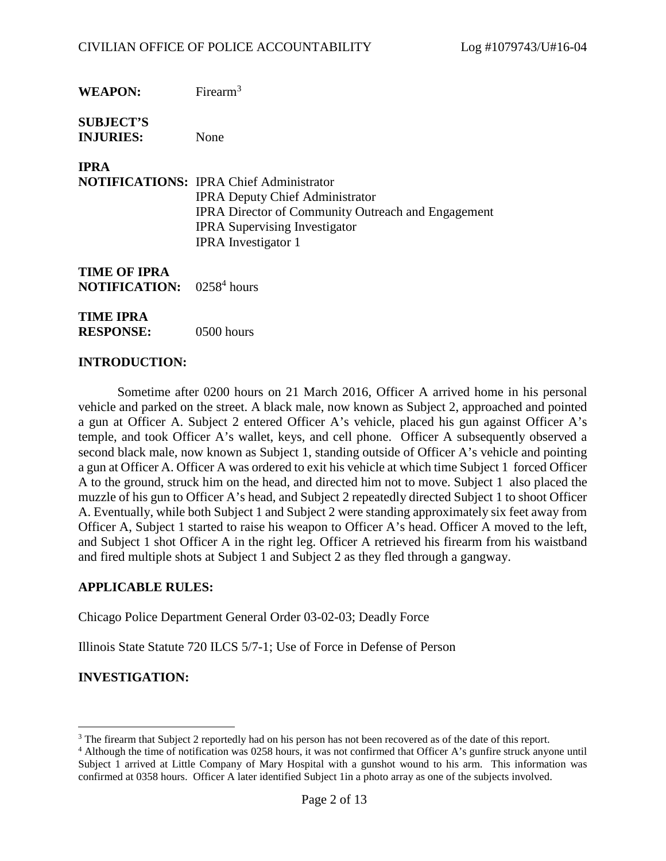**SUBJECT'S INJURIES:** None

**IPRA**

**NOTIFICATIONS:** IPRA Chief Administrator IPRA Deputy Chief Administrator IPRA Director of Community Outreach and Engagement IPRA Supervising Investigator IPRA Investigator 1

**TIME OF IPRA NOTIFICATION:**  $0258<sup>4</sup>$  hours

**TIME IPRA RESPONSE:** 0500 hours

## **INTRODUCTION:**

Sometime after 0200 hours on 21 March 2016, Officer A arrived home in his personal vehicle and parked on the street. A black male, now known as Subject 2, approached and pointed a gun at Officer A. Subject 2 entered Officer A's vehicle, placed his gun against Officer A's temple, and took Officer A's wallet, keys, and cell phone. Officer A subsequently observed a second black male, now known as Subject 1, standing outside of Officer A's vehicle and pointing a gun at Officer A. Officer A was ordered to exit his vehicle at which time Subject 1 forced Officer A to the ground, struck him on the head, and directed him not to move. Subject 1 also placed the muzzle of his gun to Officer A's head, and Subject 2 repeatedly directed Subject 1 to shoot Officer A. Eventually, while both Subject 1 and Subject 2 were standing approximately six feet away from Officer A, Subject 1 started to raise his weapon to Officer A's head. Officer A moved to the left, and Subject 1 shot Officer A in the right leg. Officer A retrieved his firearm from his waistband and fired multiple shots at Subject 1 and Subject 2 as they fled through a gangway.

#### **APPLICABLE RULES:**

Chicago Police Department General Order 03-02-03; Deadly Force

Illinois State Statute 720 ILCS 5/7-1; Use of Force in Defense of Person

# **INVESTIGATION:**

<sup>&</sup>lt;sup>3</sup> The firearm that Subject 2 reportedly had on his person has not been recovered as of the date of this report.

<sup>4</sup> Although the time of notification was 0258 hours, it was not confirmed that Officer A's gunfire struck anyone until Subject 1 arrived at Little Company of Mary Hospital with a gunshot wound to his arm. This information was confirmed at 0358 hours. Officer A later identified Subject 1in a photo array as one of the subjects involved.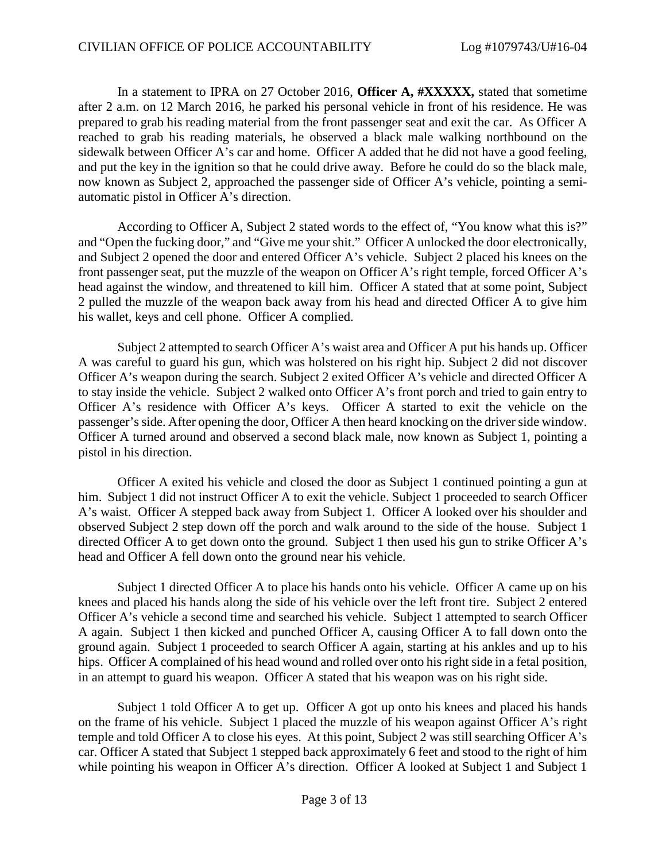In a statement to IPRA on 27 October 2016, **Officer A, #XXXXX,** stated that sometime after 2 a.m. on 12 March 2016, he parked his personal vehicle in front of his residence. He was prepared to grab his reading material from the front passenger seat and exit the car. As Officer A reached to grab his reading materials, he observed a black male walking northbound on the sidewalk between Officer A's car and home. Officer A added that he did not have a good feeling, and put the key in the ignition so that he could drive away. Before he could do so the black male, now known as Subject 2, approached the passenger side of Officer A's vehicle, pointing a semiautomatic pistol in Officer A's direction.

According to Officer A, Subject 2 stated words to the effect of, "You know what this is?" and "Open the fucking door," and "Give me your shit." Officer A unlocked the door electronically, and Subject 2 opened the door and entered Officer A's vehicle. Subject 2 placed his knees on the front passenger seat, put the muzzle of the weapon on Officer A's right temple, forced Officer A's head against the window, and threatened to kill him. Officer A stated that at some point, Subject 2 pulled the muzzle of the weapon back away from his head and directed Officer A to give him his wallet, keys and cell phone. Officer A complied.

Subject 2 attempted to search Officer A's waist area and Officer A put his hands up. Officer A was careful to guard his gun, which was holstered on his right hip. Subject 2 did not discover Officer A's weapon during the search. Subject 2 exited Officer A's vehicle and directed Officer A to stay inside the vehicle. Subject 2 walked onto Officer A's front porch and tried to gain entry to Officer A's residence with Officer A's keys. Officer A started to exit the vehicle on the passenger's side. After opening the door, Officer A then heard knocking on the driver side window. Officer A turned around and observed a second black male, now known as Subject 1, pointing a pistol in his direction.

Officer A exited his vehicle and closed the door as Subject 1 continued pointing a gun at him. Subject 1 did not instruct Officer A to exit the vehicle. Subject 1 proceeded to search Officer A's waist. Officer A stepped back away from Subject 1. Officer A looked over his shoulder and observed Subject 2 step down off the porch and walk around to the side of the house. Subject 1 directed Officer A to get down onto the ground. Subject 1 then used his gun to strike Officer A's head and Officer A fell down onto the ground near his vehicle.

Subject 1 directed Officer A to place his hands onto his vehicle. Officer A came up on his knees and placed his hands along the side of his vehicle over the left front tire. Subject 2 entered Officer A's vehicle a second time and searched his vehicle. Subject 1 attempted to search Officer A again. Subject 1 then kicked and punched Officer A, causing Officer A to fall down onto the ground again. Subject 1 proceeded to search Officer A again, starting at his ankles and up to his hips. Officer A complained of his head wound and rolled over onto his right side in a fetal position, in an attempt to guard his weapon. Officer A stated that his weapon was on his right side.

Subject 1 told Officer A to get up. Officer A got up onto his knees and placed his hands on the frame of his vehicle. Subject 1 placed the muzzle of his weapon against Officer A's right temple and told Officer A to close his eyes. At this point, Subject 2 was still searching Officer A's car. Officer A stated that Subject 1 stepped back approximately 6 feet and stood to the right of him while pointing his weapon in Officer A's direction. Officer A looked at Subject 1 and Subject 1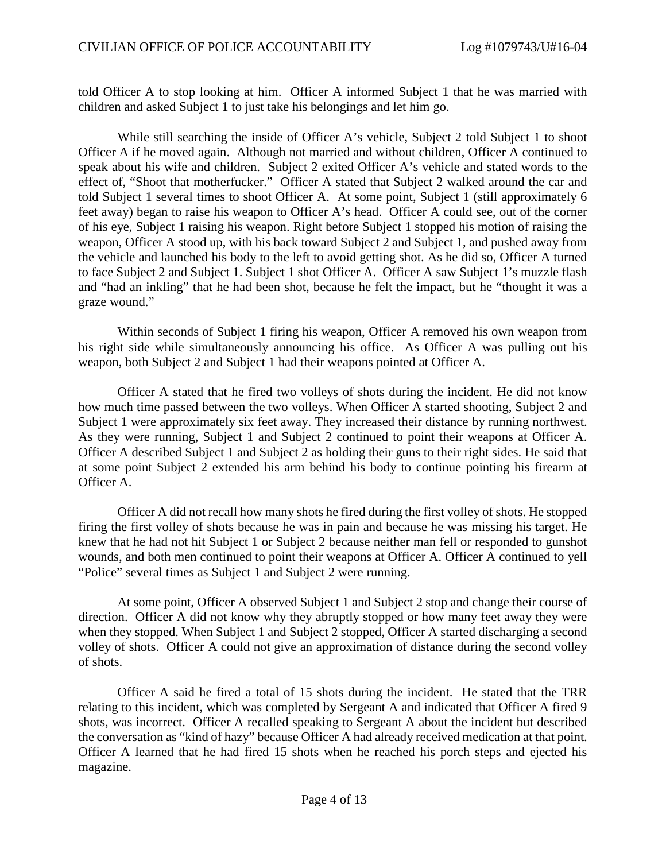told Officer A to stop looking at him. Officer A informed Subject 1 that he was married with children and asked Subject 1 to just take his belongings and let him go.

While still searching the inside of Officer A's vehicle, Subject 2 told Subject 1 to shoot Officer A if he moved again. Although not married and without children, Officer A continued to speak about his wife and children. Subject 2 exited Officer A's vehicle and stated words to the effect of, "Shoot that motherfucker." Officer A stated that Subject 2 walked around the car and told Subject 1 several times to shoot Officer A. At some point, Subject 1 (still approximately 6 feet away) began to raise his weapon to Officer A's head. Officer A could see, out of the corner of his eye, Subject 1 raising his weapon. Right before Subject 1 stopped his motion of raising the weapon, Officer A stood up, with his back toward Subject 2 and Subject 1, and pushed away from the vehicle and launched his body to the left to avoid getting shot. As he did so, Officer A turned to face Subject 2 and Subject 1. Subject 1 shot Officer A. Officer A saw Subject 1's muzzle flash and "had an inkling" that he had been shot, because he felt the impact, but he "thought it was a graze wound."

Within seconds of Subject 1 firing his weapon, Officer A removed his own weapon from his right side while simultaneously announcing his office. As Officer A was pulling out his weapon, both Subject 2 and Subject 1 had their weapons pointed at Officer A.

Officer A stated that he fired two volleys of shots during the incident. He did not know how much time passed between the two volleys. When Officer A started shooting, Subject 2 and Subject 1 were approximately six feet away. They increased their distance by running northwest. As they were running, Subject 1 and Subject 2 continued to point their weapons at Officer A. Officer A described Subject 1 and Subject 2 as holding their guns to their right sides. He said that at some point Subject 2 extended his arm behind his body to continue pointing his firearm at Officer A.

Officer A did not recall how many shots he fired during the first volley of shots. He stopped firing the first volley of shots because he was in pain and because he was missing his target. He knew that he had not hit Subject 1 or Subject 2 because neither man fell or responded to gunshot wounds, and both men continued to point their weapons at Officer A. Officer A continued to yell "Police" several times as Subject 1 and Subject 2 were running.

At some point, Officer A observed Subject 1 and Subject 2 stop and change their course of direction. Officer A did not know why they abruptly stopped or how many feet away they were when they stopped. When Subject 1 and Subject 2 stopped, Officer A started discharging a second volley of shots. Officer A could not give an approximation of distance during the second volley of shots.

Officer A said he fired a total of 15 shots during the incident. He stated that the TRR relating to this incident, which was completed by Sergeant A and indicated that Officer A fired 9 shots, was incorrect. Officer A recalled speaking to Sergeant A about the incident but described the conversation as "kind of hazy" because Officer A had already received medication at that point. Officer A learned that he had fired 15 shots when he reached his porch steps and ejected his magazine.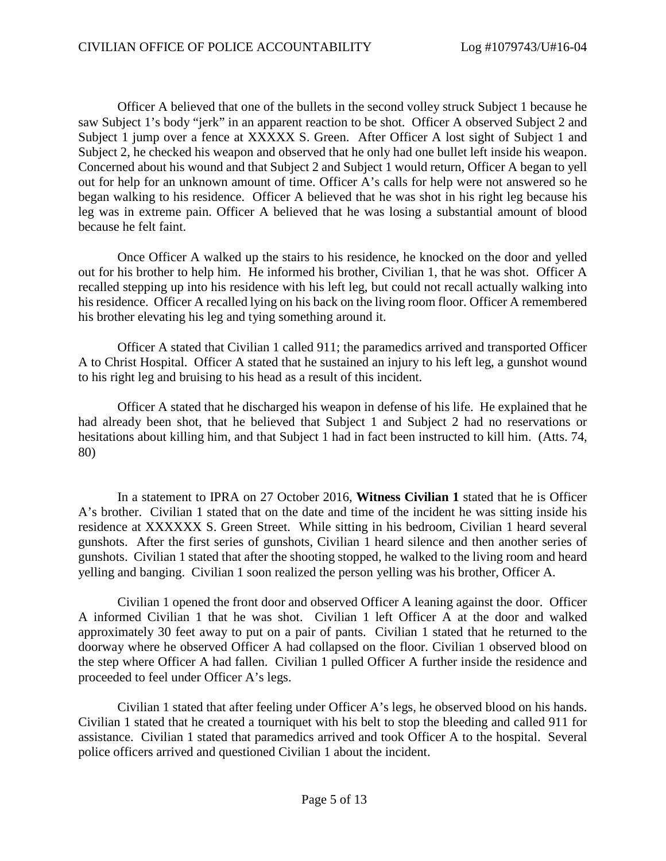Officer A believed that one of the bullets in the second volley struck Subject 1 because he saw Subject 1's body "jerk" in an apparent reaction to be shot. Officer A observed Subject 2 and Subject 1 jump over a fence at XXXXX S. Green. After Officer A lost sight of Subject 1 and Subject 2, he checked his weapon and observed that he only had one bullet left inside his weapon. Concerned about his wound and that Subject 2 and Subject 1 would return, Officer A began to yell out for help for an unknown amount of time. Officer A's calls for help were not answered so he began walking to his residence. Officer A believed that he was shot in his right leg because his leg was in extreme pain. Officer A believed that he was losing a substantial amount of blood because he felt faint.

Once Officer A walked up the stairs to his residence, he knocked on the door and yelled out for his brother to help him. He informed his brother, Civilian 1, that he was shot. Officer A recalled stepping up into his residence with his left leg, but could not recall actually walking into his residence. Officer A recalled lying on his back on the living room floor. Officer A remembered his brother elevating his leg and tying something around it.

Officer A stated that Civilian 1 called 911; the paramedics arrived and transported Officer A to Christ Hospital. Officer A stated that he sustained an injury to his left leg, a gunshot wound to his right leg and bruising to his head as a result of this incident.

Officer A stated that he discharged his weapon in defense of his life. He explained that he had already been shot, that he believed that Subject 1 and Subject 2 had no reservations or hesitations about killing him, and that Subject 1 had in fact been instructed to kill him. (Atts. 74, 80)

In a statement to IPRA on 27 October 2016, **Witness Civilian 1** stated that he is Officer A's brother. Civilian 1 stated that on the date and time of the incident he was sitting inside his residence at XXXXXX S. Green Street. While sitting in his bedroom, Civilian 1 heard several gunshots. After the first series of gunshots, Civilian 1 heard silence and then another series of gunshots. Civilian 1 stated that after the shooting stopped, he walked to the living room and heard yelling and banging. Civilian 1 soon realized the person yelling was his brother, Officer A.

Civilian 1 opened the front door and observed Officer A leaning against the door. Officer A informed Civilian 1 that he was shot. Civilian 1 left Officer A at the door and walked approximately 30 feet away to put on a pair of pants. Civilian 1 stated that he returned to the doorway where he observed Officer A had collapsed on the floor. Civilian 1 observed blood on the step where Officer A had fallen. Civilian 1 pulled Officer A further inside the residence and proceeded to feel under Officer A's legs.

Civilian 1 stated that after feeling under Officer A's legs, he observed blood on his hands. Civilian 1 stated that he created a tourniquet with his belt to stop the bleeding and called 911 for assistance. Civilian 1 stated that paramedics arrived and took Officer A to the hospital. Several police officers arrived and questioned Civilian 1 about the incident.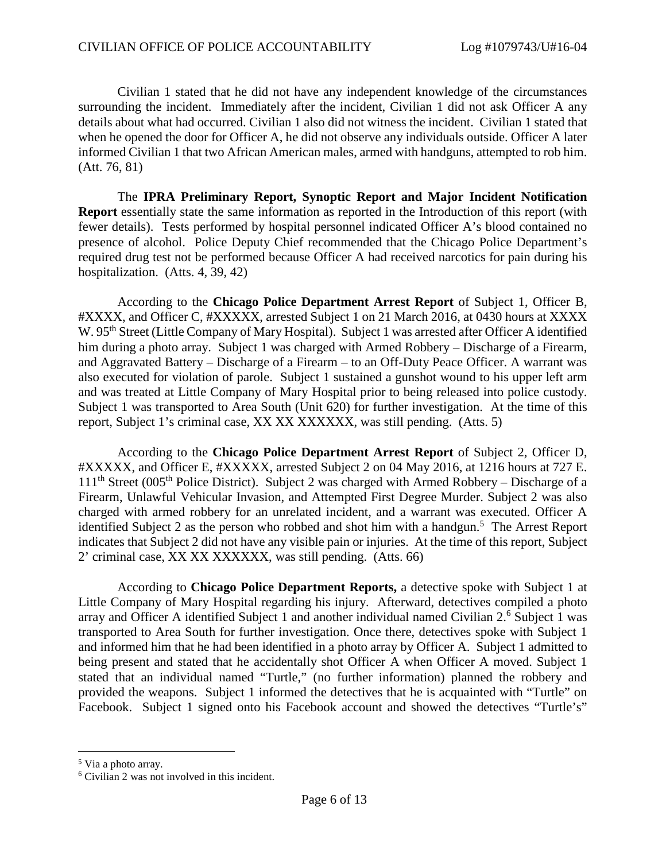Civilian 1 stated that he did not have any independent knowledge of the circumstances surrounding the incident. Immediately after the incident, Civilian 1 did not ask Officer A any details about what had occurred. Civilian 1 also did not witness the incident. Civilian 1 stated that when he opened the door for Officer A, he did not observe any individuals outside. Officer A later informed Civilian 1 that two African American males, armed with handguns, attempted to rob him. (Att. 76, 81)

The **IPRA Preliminary Report, Synoptic Report and Major Incident Notification Report** essentially state the same information as reported in the Introduction of this report (with fewer details). Tests performed by hospital personnel indicated Officer A's blood contained no presence of alcohol. Police Deputy Chief recommended that the Chicago Police Department's required drug test not be performed because Officer A had received narcotics for pain during his hospitalization. (Atts. 4, 39, 42)

According to the **Chicago Police Department Arrest Report** of Subject 1, Officer B, #XXXX, and Officer C, #XXXXX, arrested Subject 1 on 21 March 2016, at 0430 hours at XXXX W. 95<sup>th</sup> Street (Little Company of Mary Hospital). Subject 1 was arrested after Officer A identified him during a photo array. Subject 1 was charged with Armed Robbery – Discharge of a Firearm, and Aggravated Battery – Discharge of a Firearm – to an Off-Duty Peace Officer. A warrant was also executed for violation of parole. Subject 1 sustained a gunshot wound to his upper left arm and was treated at Little Company of Mary Hospital prior to being released into police custody. Subject 1 was transported to Area South (Unit 620) for further investigation. At the time of this report, Subject 1's criminal case, XX XX XXXXXX, was still pending. (Atts. 5)

According to the **Chicago Police Department Arrest Report** of Subject 2, Officer D, #XXXXX, and Officer E, #XXXXX, arrested Subject 2 on 04 May 2016, at 1216 hours at 727 E.  $111<sup>th</sup>$  Street (005<sup>th</sup> Police District). Subject 2 was charged with Armed Robbery – Discharge of a Firearm, Unlawful Vehicular Invasion, and Attempted First Degree Murder. Subject 2 was also charged with armed robbery for an unrelated incident, and a warrant was executed. Officer A identified Subject 2 as the person who robbed and shot him with a handgun.<sup>5</sup> The Arrest Report indicates that Subject 2 did not have any visible pain or injuries. At the time of this report, Subject 2' criminal case, XX XX XXXXXX, was still pending. (Atts. 66)

According to **Chicago Police Department Reports,** a detective spoke with Subject 1 at Little Company of Mary Hospital regarding his injury. Afterward, detectives compiled a photo array and Officer A identified Subject 1 and another individual named Civilian 2.<sup>6</sup> Subject 1 was transported to Area South for further investigation. Once there, detectives spoke with Subject 1 and informed him that he had been identified in a photo array by Officer A. Subject 1 admitted to being present and stated that he accidentally shot Officer A when Officer A moved. Subject 1 stated that an individual named "Turtle," (no further information) planned the robbery and provided the weapons. Subject 1 informed the detectives that he is acquainted with "Turtle" on Facebook. Subject 1 signed onto his Facebook account and showed the detectives "Turtle's"

<sup>5</sup> Via a photo array.

<sup>6</sup> Civilian 2 was not involved in this incident.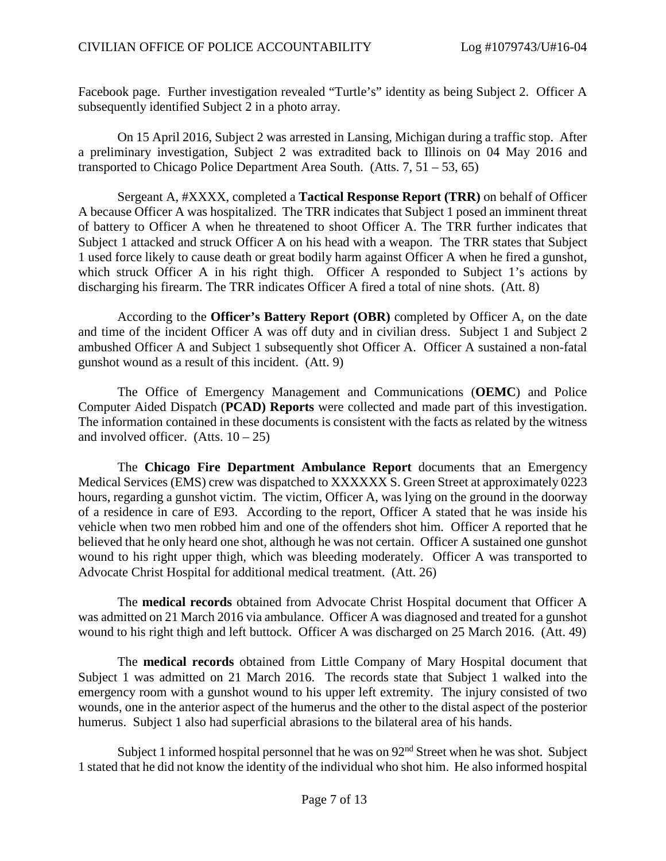Facebook page. Further investigation revealed "Turtle's" identity as being Subject 2. Officer A subsequently identified Subject 2 in a photo array.

On 15 April 2016, Subject 2 was arrested in Lansing, Michigan during a traffic stop. After a preliminary investigation, Subject 2 was extradited back to Illinois on 04 May 2016 and transported to Chicago Police Department Area South. (Atts.  $7, 51 - 53, 65$ )

Sergeant A, #XXXX, completed a **Tactical Response Report (TRR)** on behalf of Officer A because Officer A was hospitalized. The TRR indicates that Subject 1 posed an imminent threat of battery to Officer A when he threatened to shoot Officer A. The TRR further indicates that Subject 1 attacked and struck Officer A on his head with a weapon. The TRR states that Subject 1 used force likely to cause death or great bodily harm against Officer A when he fired a gunshot, which struck Officer A in his right thigh. Officer A responded to Subject 1's actions by discharging his firearm. The TRR indicates Officer A fired a total of nine shots. (Att. 8)

According to the **Officer's Battery Report (OBR)** completed by Officer A, on the date and time of the incident Officer A was off duty and in civilian dress. Subject 1 and Subject 2 ambushed Officer A and Subject 1 subsequently shot Officer A. Officer A sustained a non-fatal gunshot wound as a result of this incident. (Att. 9)

The Office of Emergency Management and Communications (**OEMC**) and Police Computer Aided Dispatch (**PCAD) Reports** were collected and made part of this investigation. The information contained in these documents is consistent with the facts as related by the witness and involved officer.  $(A$ tts.  $10 - 25)$ 

The **Chicago Fire Department Ambulance Report** documents that an Emergency Medical Services (EMS) crew was dispatched to XXXXXX S. Green Street at approximately 0223 hours, regarding a gunshot victim. The victim, Officer A, was lying on the ground in the doorway of a residence in care of E93. According to the report, Officer A stated that he was inside his vehicle when two men robbed him and one of the offenders shot him. Officer A reported that he believed that he only heard one shot, although he was not certain. Officer A sustained one gunshot wound to his right upper thigh, which was bleeding moderately. Officer A was transported to Advocate Christ Hospital for additional medical treatment. (Att. 26)

The **medical records** obtained from Advocate Christ Hospital document that Officer A was admitted on 21 March 2016 via ambulance. Officer A was diagnosed and treated for a gunshot wound to his right thigh and left buttock. Officer A was discharged on 25 March 2016. (Att. 49)

The **medical records** obtained from Little Company of Mary Hospital document that Subject 1 was admitted on 21 March 2016. The records state that Subject 1 walked into the emergency room with a gunshot wound to his upper left extremity. The injury consisted of two wounds, one in the anterior aspect of the humerus and the other to the distal aspect of the posterior humerus. Subject 1 also had superficial abrasions to the bilateral area of his hands.

Subject 1 informed hospital personnel that he was on  $92<sup>nd</sup>$  Street when he was shot. Subject 1 stated that he did not know the identity of the individual who shot him. He also informed hospital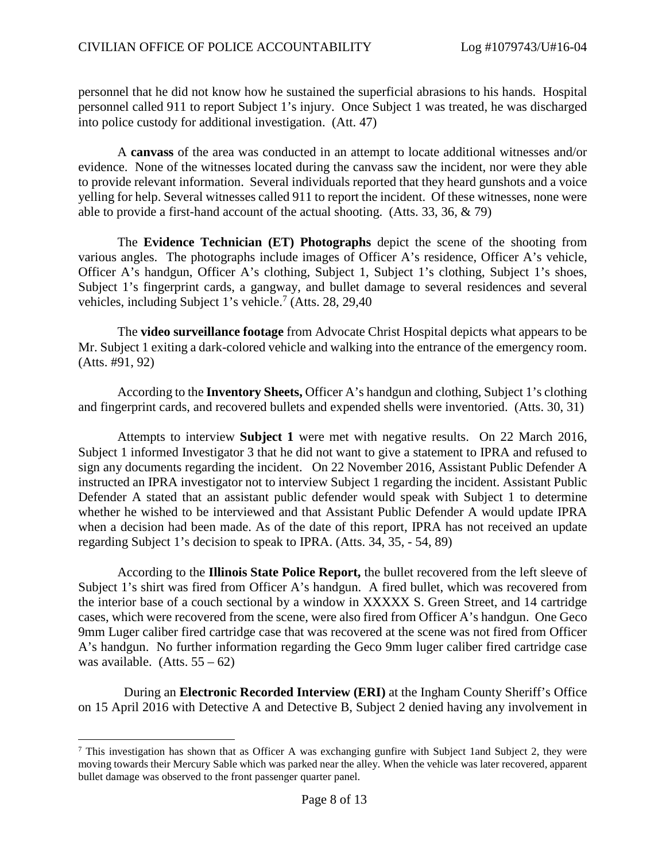personnel that he did not know how he sustained the superficial abrasions to his hands. Hospital personnel called 911 to report Subject 1's injury. Once Subject 1 was treated, he was discharged into police custody for additional investigation. (Att. 47)

A **canvass** of the area was conducted in an attempt to locate additional witnesses and/or evidence. None of the witnesses located during the canvass saw the incident, nor were they able to provide relevant information. Several individuals reported that they heard gunshots and a voice yelling for help. Several witnesses called 911 to report the incident. Of these witnesses, none were able to provide a first-hand account of the actual shooting. (Atts. 33, 36, & 79)

The **Evidence Technician (ET) Photographs** depict the scene of the shooting from various angles. The photographs include images of Officer A's residence, Officer A's vehicle, Officer A's handgun, Officer A's clothing, Subject 1, Subject 1's clothing, Subject 1's shoes, Subject 1's fingerprint cards, a gangway, and bullet damage to several residences and several vehicles, including Subject 1's vehicle.<sup>7</sup> (Atts. 28, 29,40)

The **video surveillance footage** from Advocate Christ Hospital depicts what appears to be Mr. Subject 1 exiting a dark-colored vehicle and walking into the entrance of the emergency room. (Atts. #91, 92)

According to the **Inventory Sheets,** Officer A's handgun and clothing, Subject 1's clothing and fingerprint cards, and recovered bullets and expended shells were inventoried. (Atts. 30, 31)

Attempts to interview **Subject 1** were met with negative results. On 22 March 2016, Subject 1 informed Investigator 3 that he did not want to give a statement to IPRA and refused to sign any documents regarding the incident. On 22 November 2016, Assistant Public Defender A instructed an IPRA investigator not to interview Subject 1 regarding the incident. Assistant Public Defender A stated that an assistant public defender would speak with Subject 1 to determine whether he wished to be interviewed and that Assistant Public Defender A would update IPRA when a decision had been made. As of the date of this report, IPRA has not received an update regarding Subject 1's decision to speak to IPRA. (Atts. 34, 35, - 54, 89)

According to the **Illinois State Police Report,** the bullet recovered from the left sleeve of Subject 1's shirt was fired from Officer A's handgun. A fired bullet, which was recovered from the interior base of a couch sectional by a window in XXXXX S. Green Street, and 14 cartridge cases, which were recovered from the scene, were also fired from Officer A's handgun. One Geco 9mm Luger caliber fired cartridge case that was recovered at the scene was not fired from Officer A's handgun. No further information regarding the Geco 9mm luger caliber fired cartridge case was available.  $(A$ tts.  $55 - 62)$ 

During an **Electronic Recorded Interview (ERI)** at the Ingham County Sheriff's Office on 15 April 2016 with Detective A and Detective B, Subject 2 denied having any involvement in

<sup>&</sup>lt;sup>7</sup> This investigation has shown that as Officer A was exchanging gunfire with Subject 1and Subject 2, they were moving towards their Mercury Sable which was parked near the alley. When the vehicle was later recovered, apparent bullet damage was observed to the front passenger quarter panel.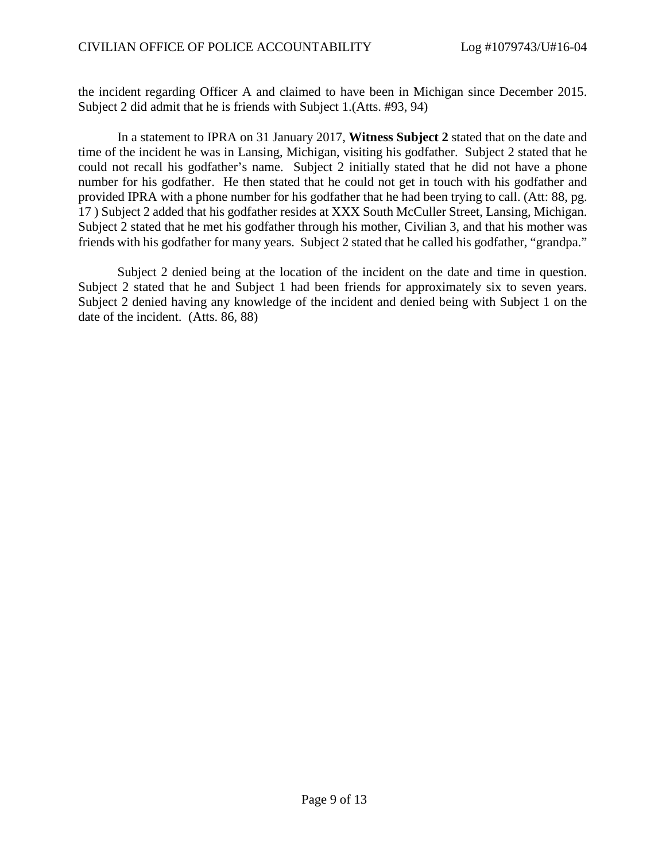the incident regarding Officer A and claimed to have been in Michigan since December 2015. Subject 2 did admit that he is friends with Subject 1.(Atts. #93, 94)

In a statement to IPRA on 31 January 2017, **Witness Subject 2** stated that on the date and time of the incident he was in Lansing, Michigan, visiting his godfather. Subject 2 stated that he could not recall his godfather's name. Subject 2 initially stated that he did not have a phone number for his godfather. He then stated that he could not get in touch with his godfather and provided IPRA with a phone number for his godfather that he had been trying to call. (Att: 88, pg. 17 ) Subject 2 added that his godfather resides at XXX South McCuller Street, Lansing, Michigan. Subject 2 stated that he met his godfather through his mother, Civilian 3, and that his mother was friends with his godfather for many years. Subject 2 stated that he called his godfather, "grandpa."

Subject 2 denied being at the location of the incident on the date and time in question. Subject 2 stated that he and Subject 1 had been friends for approximately six to seven years. Subject 2 denied having any knowledge of the incident and denied being with Subject 1 on the date of the incident. (Atts. 86, 88)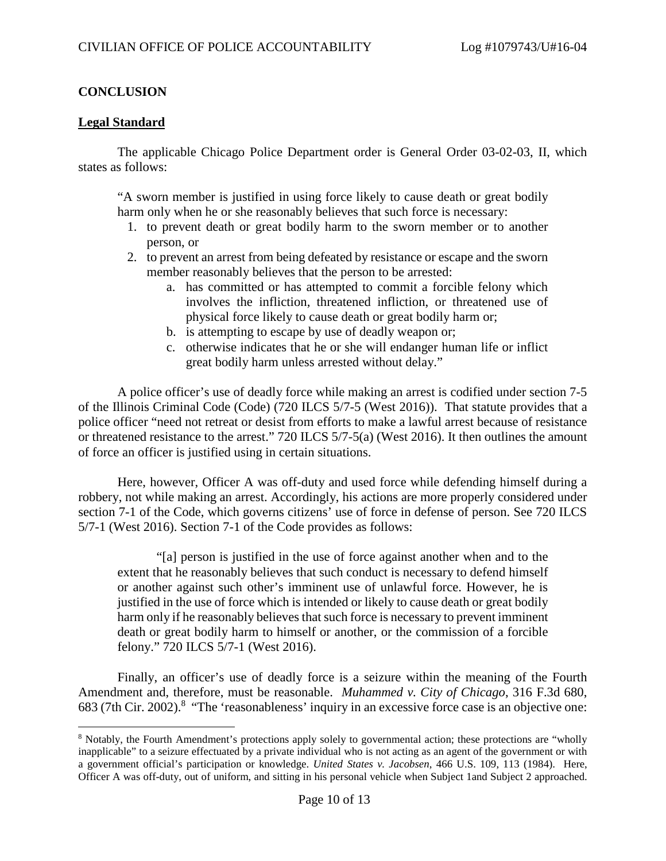# **CONCLUSION**

## **Legal Standard**

The applicable Chicago Police Department order is General Order 03-02-03, II, which states as follows:

"A sworn member is justified in using force likely to cause death or great bodily harm only when he or she reasonably believes that such force is necessary:

- 1. to prevent death or great bodily harm to the sworn member or to another person, or
- 2. to prevent an arrest from being defeated by resistance or escape and the sworn member reasonably believes that the person to be arrested:
	- a. has committed or has attempted to commit a forcible felony which involves the infliction, threatened infliction, or threatened use of physical force likely to cause death or great bodily harm or;
	- b. is attempting to escape by use of deadly weapon or;
	- c. otherwise indicates that he or she will endanger human life or inflict great bodily harm unless arrested without delay."

A police officer's use of deadly force while making an arrest is codified under section 7-5 of the Illinois Criminal Code (Code) (720 ILCS 5/7-5 (West 2016)). That statute provides that a police officer "need not retreat or desist from efforts to make a lawful arrest because of resistance or threatened resistance to the arrest." 720 ILCS 5/7-5(a) (West 2016). It then outlines the amount of force an officer is justified using in certain situations.

Here, however, Officer A was off-duty and used force while defending himself during a robbery, not while making an arrest. Accordingly, his actions are more properly considered under section 7-1 of the Code, which governs citizens' use of force in defense of person. See 720 ILCS 5/7-1 (West 2016). Section 7-1 of the Code provides as follows:

"[a] person is justified in the use of force against another when and to the extent that he reasonably believes that such conduct is necessary to defend himself or another against such other's imminent use of unlawful force. However, he is justified in the use of force which is intended or likely to cause death or great bodily harm only if he reasonably believes that such force is necessary to prevent imminent death or great bodily harm to himself or another, or the commission of a forcible felony." 720 ILCS 5/7-1 (West 2016).

Finally, an officer's use of deadly force is a seizure within the meaning of the Fourth Amendment and, therefore, must be reasonable. *Muhammed v. City of Chicago*, 316 F.3d 680, 683 (7th Cir. 2002).<sup>8</sup> "The 'reasonableness' inquiry in an excessive force case is an objective one:

<sup>8</sup> Notably, the Fourth Amendment's protections apply solely to governmental action; these protections are "wholly inapplicable" to a seizure effectuated by a private individual who is not acting as an agent of the government or with a government official's participation or knowledge. *United States v. Jacobsen*, 466 U.S. 109, 113 (1984). Here, Officer A was off-duty, out of uniform, and sitting in his personal vehicle when Subject 1and Subject 2 approached.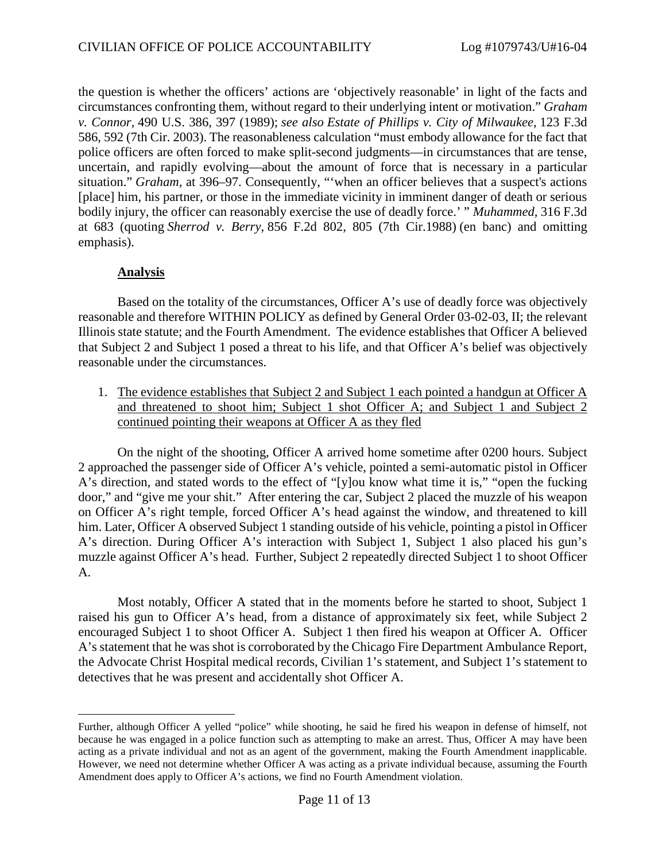the question is whether the officers' actions are 'objectively reasonable' in light of the facts and circumstances confronting them, without regard to their underlying intent or motivation." *Graham v. Connor,* 490 U.S. 386, 397 (1989); *see also Estate of Phillips v. City of Milwaukee,* 123 F.3d 586, 592 (7th Cir. 2003). The reasonableness calculation "must embody allowance for the fact that police officers are often forced to make split-second judgments—in circumstances that are tense, uncertain, and rapidly evolving—about the amount of force that is necessary in a particular situation." *Graham,* at 396–97. Consequently, "'when an officer believes that a suspect's actions [place] him, his partner, or those in the immediate vicinity in imminent danger of death or serious bodily injury, the officer can reasonably exercise the use of deadly force.' " *Muhammed,* 316 F.3d at 683 (quoting *Sherrod v. Berry,* 856 F.2d 802, 805 (7th Cir.1988) (en banc) and omitting emphasis).

# **Analysis**

Based on the totality of the circumstances, Officer A's use of deadly force was objectively reasonable and therefore WITHIN POLICY as defined by General Order 03-02-03, II; the relevant Illinois state statute; and the Fourth Amendment. The evidence establishes that Officer A believed that Subject 2 and Subject 1 posed a threat to his life, and that Officer A's belief was objectively reasonable under the circumstances.

1. The evidence establishes that Subject 2 and Subject 1 each pointed a handgun at Officer A and threatened to shoot him; Subject 1 shot Officer A; and Subject 1 and Subject 2 continued pointing their weapons at Officer A as they fled

On the night of the shooting, Officer A arrived home sometime after 0200 hours. Subject 2 approached the passenger side of Officer A's vehicle, pointed a semi-automatic pistol in Officer A's direction, and stated words to the effect of "[y]ou know what time it is," "open the fucking door," and "give me your shit." After entering the car, Subject 2 placed the muzzle of his weapon on Officer A's right temple, forced Officer A's head against the window, and threatened to kill him. Later, Officer A observed Subject 1 standing outside of his vehicle, pointing a pistol in Officer A's direction. During Officer A's interaction with Subject 1, Subject 1 also placed his gun's muzzle against Officer A's head. Further, Subject 2 repeatedly directed Subject 1 to shoot Officer A.

Most notably, Officer A stated that in the moments before he started to shoot, Subject 1 raised his gun to Officer A's head, from a distance of approximately six feet, while Subject 2 encouraged Subject 1 to shoot Officer A. Subject 1 then fired his weapon at Officer A. Officer A's statement that he was shot is corroborated by the Chicago Fire Department Ambulance Report, the Advocate Christ Hospital medical records, Civilian 1's statement, and Subject 1's statement to detectives that he was present and accidentally shot Officer A.

Further, although Officer A yelled "police" while shooting, he said he fired his weapon in defense of himself, not because he was engaged in a police function such as attempting to make an arrest. Thus, Officer A may have been acting as a private individual and not as an agent of the government, making the Fourth Amendment inapplicable. However, we need not determine whether Officer A was acting as a private individual because, assuming the Fourth Amendment does apply to Officer A's actions, we find no Fourth Amendment violation.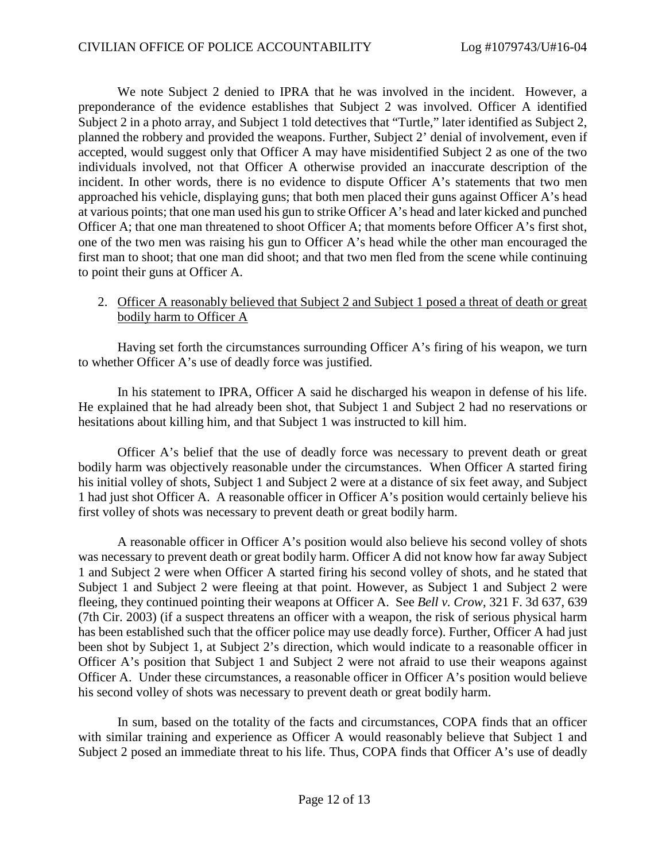We note Subject 2 denied to IPRA that he was involved in the incident. However, a preponderance of the evidence establishes that Subject 2 was involved. Officer A identified Subject 2 in a photo array, and Subject 1 told detectives that "Turtle," later identified as Subject 2, planned the robbery and provided the weapons. Further, Subject 2' denial of involvement, even if accepted, would suggest only that Officer A may have misidentified Subject 2 as one of the two individuals involved, not that Officer A otherwise provided an inaccurate description of the incident. In other words, there is no evidence to dispute Officer A's statements that two men approached his vehicle, displaying guns; that both men placed their guns against Officer A's head at various points; that one man used his gun to strike Officer A's head and later kicked and punched Officer A; that one man threatened to shoot Officer A; that moments before Officer A's first shot, one of the two men was raising his gun to Officer A's head while the other man encouraged the first man to shoot; that one man did shoot; and that two men fled from the scene while continuing to point their guns at Officer A.

## 2. Officer A reasonably believed that Subject 2 and Subject 1 posed a threat of death or great bodily harm to Officer A

Having set forth the circumstances surrounding Officer A's firing of his weapon, we turn to whether Officer A's use of deadly force was justified.

In his statement to IPRA, Officer A said he discharged his weapon in defense of his life. He explained that he had already been shot, that Subject 1 and Subject 2 had no reservations or hesitations about killing him, and that Subject 1 was instructed to kill him.

Officer A's belief that the use of deadly force was necessary to prevent death or great bodily harm was objectively reasonable under the circumstances. When Officer A started firing his initial volley of shots, Subject 1 and Subject 2 were at a distance of six feet away, and Subject 1 had just shot Officer A. A reasonable officer in Officer A's position would certainly believe his first volley of shots was necessary to prevent death or great bodily harm.

A reasonable officer in Officer A's position would also believe his second volley of shots was necessary to prevent death or great bodily harm. Officer A did not know how far away Subject 1 and Subject 2 were when Officer A started firing his second volley of shots, and he stated that Subject 1 and Subject 2 were fleeing at that point. However, as Subject 1 and Subject 2 were fleeing, they continued pointing their weapons at Officer A. See *Bell v. Crow*, 321 F. 3d 637, 639 (7th Cir. 2003) (if a suspect threatens an officer with a weapon, the risk of serious physical harm has been established such that the officer police may use deadly force). Further, Officer A had just been shot by Subject 1, at Subject 2's direction, which would indicate to a reasonable officer in Officer A's position that Subject 1 and Subject 2 were not afraid to use their weapons against Officer A. Under these circumstances, a reasonable officer in Officer A's position would believe his second volley of shots was necessary to prevent death or great bodily harm.

In sum, based on the totality of the facts and circumstances, COPA finds that an officer with similar training and experience as Officer A would reasonably believe that Subject 1 and Subject 2 posed an immediate threat to his life. Thus, COPA finds that Officer A's use of deadly